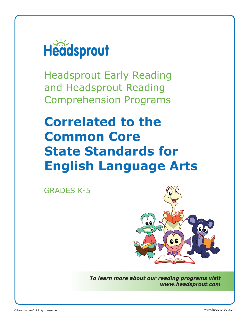

Headsprout Early Reading and Headsprout Reading Comprehension Programs

## **Correlated to the Common Core State Standards for English Language Arts**

GRADES K-5



*To learn more about our reading programs visit www.headsprout.com*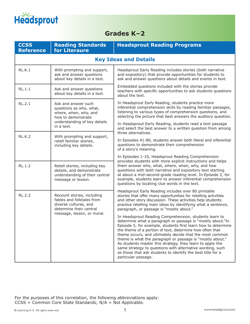

## **Grades K–2**

| <b>CCSS</b><br><b>Reference</b> | <b>Reading Standards</b><br>for Literaure                                                                                                                                                                                                                                                                                                                                                                                                                                                                                                                                                  | <b>Headsprout Reading Programs</b>                                                                                                                                                                                                                                                                                                                                                                                  |  |
|---------------------------------|--------------------------------------------------------------------------------------------------------------------------------------------------------------------------------------------------------------------------------------------------------------------------------------------------------------------------------------------------------------------------------------------------------------------------------------------------------------------------------------------------------------------------------------------------------------------------------------------|---------------------------------------------------------------------------------------------------------------------------------------------------------------------------------------------------------------------------------------------------------------------------------------------------------------------------------------------------------------------------------------------------------------------|--|
|                                 | <b>Key Ideas and Details</b>                                                                                                                                                                                                                                                                                                                                                                                                                                                                                                                                                               |                                                                                                                                                                                                                                                                                                                                                                                                                     |  |
| RL.K.1                          | With prompting and support,<br>ask and answer questions<br>about key details in a text.                                                                                                                                                                                                                                                                                                                                                                                                                                                                                                    | Headsprout Early Reading includes stories (both narrative<br>and expository) that provide opportunities for students to<br>ask and answer questions about details and events in text.                                                                                                                                                                                                                               |  |
| RL.1.1                          | Ask and answer questions<br>about key details in a text.                                                                                                                                                                                                                                                                                                                                                                                                                                                                                                                                   | Embedded questions included with the stories provide<br>teachers with specific opportunities to ask students questions<br>about the text.                                                                                                                                                                                                                                                                           |  |
| RL.2.1                          | Ask and answer such<br>questions as who, what,<br>where, when, why, and<br>how to demonstrate                                                                                                                                                                                                                                                                                                                                                                                                                                                                                              | In Headsprout Early Reading, students practice more<br>inferential comprehension skills by reading familiar passages,<br>listening to various types of comprehension questions, and<br>selecting the picture that best answers the auditory question.                                                                                                                                                               |  |
|                                 | understanding of key details<br>in a text.                                                                                                                                                                                                                                                                                                                                                                                                                                                                                                                                                 | In Headsprout Early Reading, students read a text passage<br>and select the best answer to a written question from among<br>three alternatives.                                                                                                                                                                                                                                                                     |  |
| <b>RL.K.2</b>                   | With prompting and support,<br>retell familiar stories,<br>including key details.                                                                                                                                                                                                                                                                                                                                                                                                                                                                                                          | In Episodes 41-80, students answer both literal and inferential<br>questions to demonstrate their comprehension<br>of a story's meaning.                                                                                                                                                                                                                                                                            |  |
| RL.1.2                          | Retell stories, including key<br>details, and demonstrate<br>understanding of their central<br>message or lesson.                                                                                                                                                                                                                                                                                                                                                                                                                                                                          | In Episodes 1-10, Headsprout Reading Comprehension<br>provides students with more explicit instructions and helps<br>them answer who, what, where, when, why, and how<br>questions with both narrative and expository text starting<br>at about a mid-second-grade reading level. In Episode 2, for<br>example, students learn to answer inferential comprehension<br>questions by locating clue words in the text. |  |
| <b>RL.2.2</b>                   | Recount stories, including<br>fables and folktales from<br>diverse cultures, and<br>determine their central                                                                                                                                                                                                                                                                                                                                                                                                                                                                                | Headsprout Early Reading includes over 80 printable<br>stories that offer many opportunities for retelling activities<br>and other story discussion. These activities help students<br>practice retelling main ideas by identifying what a sentence,<br>paragraph, or passage is "mostly about."                                                                                                                    |  |
| message, lesson, or moral.      | In Headsprout Reading Comprehension, students learn to<br>determine what a paragraph or passage is "mostly about."In<br>Episode 5, for example, students first learn how to determine<br>the theme of a portion of text, determine how often that<br>theme occurs, and ultimately decide that the most common<br>theme is what the paragraph or passage is "mostly about."<br>As students master this strategy, they learn to apply the<br>same strategy to questions with alternative wording, such<br>as those that ask students to identify the best title for a<br>particular passage. |                                                                                                                                                                                                                                                                                                                                                                                                                     |  |

For the purposes of this correlation, the following abbreviations apply: CCSS = Common Core State Standards; N/A = Not Applicable.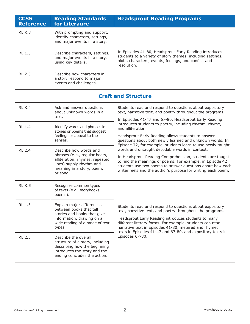| <b>CCSS</b><br><b>Reference</b> | <b>Reading Standards</b><br>for Literaure                                                                                                                      | <b>Headsprout Reading Programs</b>                                                                                                                                                                                                                                                                                                                             |
|---------------------------------|----------------------------------------------------------------------------------------------------------------------------------------------------------------|----------------------------------------------------------------------------------------------------------------------------------------------------------------------------------------------------------------------------------------------------------------------------------------------------------------------------------------------------------------|
| RL.K.3                          | With prompting and support,<br>identify characters, settings,<br>and major events in a story.                                                                  |                                                                                                                                                                                                                                                                                                                                                                |
| RL.1.3                          | Describe characters, settings,<br>and major events in a story,<br>using key details.                                                                           | In Episodes 41-80, Headsprout Early Reading introduces<br>students to a variety of story themes, including settings,<br>plots, characters, events, feelings, and conflict and<br>resolution.                                                                                                                                                                   |
| RL.2.3                          | Describe how characters in<br>a story respond to major<br>events and challenges.                                                                               |                                                                                                                                                                                                                                                                                                                                                                |
|                                 |                                                                                                                                                                | <b>Craft and Structure</b>                                                                                                                                                                                                                                                                                                                                     |
| RL.K.4                          | Ask and answer questions<br>about unknown words in a<br>text.                                                                                                  | Students read and respond to questions about expository<br>text, narrative text, and poetry throughout the programs.<br>In Episodes 41-47 and 67-80, Headsprout Early Reading                                                                                                                                                                                  |
| <b>RL.1.4</b>                   | Identify words and phrases in<br>stories or poems that suggest<br>feelings or appeal to the<br>senses.                                                         | introduces students to poetry, including rhythm, rhyme,<br>and alliteration.<br>Headsprout Early Reading allows students to answer<br>questions about both newly learned and unknown words. In<br>Episode 72, for example, students learn to use newly taught                                                                                                  |
| RL.2.4                          | Describe how words and<br>phrases (e.g., regular beats,<br>alliteration, rhymes, repeated<br>lines) supply rhythm and<br>meaning in a story, poem,<br>or song. | words and untaught decodable words in context.<br>In Headsprout Reading Comprehension, students are taught<br>to find the meanings of poems. For example, in Episode 42<br>students use two poems to answer questions about how each<br>writer feels and the author's purpose for writing each poem.                                                           |
| <b>RL.K.5</b>                   | Recognize common types<br>of texts (e.g., storybooks,<br>poems).                                                                                               |                                                                                                                                                                                                                                                                                                                                                                |
| <b>RL.1.5</b>                   | Explain major differences<br>between books that tell<br>stories and books that give<br>information, drawing on a<br>wide reading of a range of text<br>types.  | Students read and respond to questions about expository<br>text, narrative text, and poetry throughout the programs.<br>Headsprout Early Reading introduces students to many<br>different literary forms. For example, students can read<br>narrative text in Episodes 41-80, metered and rhymed<br>texts in Episodes 41-47 and 67-80, and expository texts in |
| <b>RL.2.5</b>                   | Describe the overall<br>structure of a story, including<br>describing how the beginning<br>introduces the story and the<br>ending concludes the action.        | Episodes 67-80.                                                                                                                                                                                                                                                                                                                                                |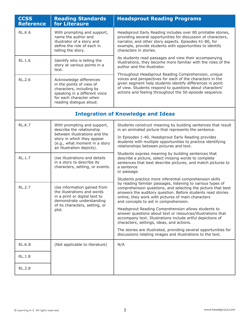| <b>CCSS</b><br><b>Reference</b> | <b>Reading Standards</b><br>for Literaure                                                                                                                              | <b>Headsprout Reading Programs</b>                                                                                                                                                                                                                                                                                                                   |
|---------------------------------|------------------------------------------------------------------------------------------------------------------------------------------------------------------------|------------------------------------------------------------------------------------------------------------------------------------------------------------------------------------------------------------------------------------------------------------------------------------------------------------------------------------------------------|
| <b>RL.K.6</b>                   | With prompting and support,<br>name the author and<br>illustrator of a story and<br>define the role of each in<br>telling the story.                                   | Headsprout Early Reading includes over 80 printable stories,<br>providing several opportunities for discussion of characters,<br>narrator, and other story aspects. Episodes 41-80, for<br>example, provide students with opportunities to identify<br>characters in stories.                                                                        |
| <b>RL.1.6</b>                   | Identify who is telling the<br>story at various points in a<br>text.                                                                                                   | As students read passages and view their accompanying<br>illustrations, they become more familiar with the roles of the<br>author and the illustrator.                                                                                                                                                                                               |
| <b>RL.2.6</b>                   | Acknowledge differences<br>in the points of view of<br>characters, including by<br>speaking in a different voice<br>for each character when<br>reading dialogue aloud. | Throughout Headsprout Reading Comprehension, unique<br>voices and perspectives for each of the characters in the<br>given segment help students identify differences in point<br>of view. Students respond to questions about characters'<br>actions and feeling throughout the 50-episode sequence.                                                 |
|                                 |                                                                                                                                                                        | <b>Integration of Knowledge and Ideas</b>                                                                                                                                                                                                                                                                                                            |
| RL.K.7                          | With prompting and support,<br>describe the relationship<br>between illustrations and the<br>story in which they appear<br>(e.g., what moment in a story               | Students construct meaning by building sentences that result<br>in an animated picture that represents the sentence.<br>In Episodes 1-40, Headsprout Early Reading provides<br>students with multiple opportunities to practice identifying<br>relationships between pictures and text.                                                              |
| RL.1.7                          | an illustration depicts).<br>Use illustrations and details<br>in a story to describe its<br>characters, setting, or events.                                            | Students express meaning by building sentences that<br>describe a picture, select missing words to complete<br>sentences that best describe pictures, and match pictures to<br>a sentence<br>or passage.                                                                                                                                             |
| <b>RL.2.7</b>                   | Use information gained from<br>the illustrations and words<br>in a print or digital text to<br>demonstrate understanding<br>of its characters, setting, or             | Students practice more inferential comprehension skills<br>by reading familiar passages, listening to various types of<br>comprehension questions, and selecting the picture that best<br>answers the auditory question. Before students read stories<br>online, they work with pictures of main characters<br>and concepts to aid in comprehension. |
|                                 | plot.                                                                                                                                                                  | Headsprout Reading Comprehension allows students to<br>answer questions about text or resources/illustrations that<br>accompany text. Illustrations include artful depictions of<br>characters, settings, ideas, and actions.                                                                                                                        |
|                                 |                                                                                                                                                                        | The stories are illustrated, providing several opportunities for<br>discussions relating images and illustrations to the text.                                                                                                                                                                                                                       |
| RL.K.8                          | (Not applicable to literature)                                                                                                                                         | N/A                                                                                                                                                                                                                                                                                                                                                  |
| <b>RL.1.8</b>                   |                                                                                                                                                                        |                                                                                                                                                                                                                                                                                                                                                      |
| <b>RL.2.8</b>                   |                                                                                                                                                                        |                                                                                                                                                                                                                                                                                                                                                      |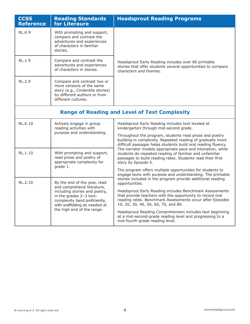| <b>CCSS</b><br><b>Reference</b>                      | <b>Reading Standards</b><br>for Literaure                                                                                                                                                                              | <b>Headsprout Reading Programs</b>                                                                                                                                                                                                                                                                                                                                                                                                                                  |  |
|------------------------------------------------------|------------------------------------------------------------------------------------------------------------------------------------------------------------------------------------------------------------------------|---------------------------------------------------------------------------------------------------------------------------------------------------------------------------------------------------------------------------------------------------------------------------------------------------------------------------------------------------------------------------------------------------------------------------------------------------------------------|--|
| RL.K.9                                               | With prompting and support,<br>compare and contrast the<br>adventures and experiences<br>of characters in familiar<br>stories.                                                                                         |                                                                                                                                                                                                                                                                                                                                                                                                                                                                     |  |
| RL.1.9                                               | Compare and contrast the<br>adventures and experiences<br>of characters in stories.                                                                                                                                    | Headsprout Early Reading includes over 80 printable<br>stories that offer students several opportunities to compare<br>characters and themes.                                                                                                                                                                                                                                                                                                                       |  |
| <b>RL.2.9</b>                                        | Compare and contrast two or<br>more versions of the same<br>story (e.g., Cinderella stories)<br>by different authors or from<br>different cultures.                                                                    |                                                                                                                                                                                                                                                                                                                                                                                                                                                                     |  |
| <b>Range of Reading and Level of Text Complexity</b> |                                                                                                                                                                                                                        |                                                                                                                                                                                                                                                                                                                                                                                                                                                                     |  |
| <b>RL.K.10</b>                                       | Actively engage in group<br>reading activities with<br>purpose and understanding.                                                                                                                                      | Headsprout Early Reading includes text leveled at<br>kindergarten through mid-second grade.<br>Throughout the program, students read prose and poetry<br>building in complexity. Repeated reading of gradually more<br>difficult passages helps students build oral reading fluency.                                                                                                                                                                                |  |
| RL.1.10                                              | With prompting and support,<br>read prose and poetry of<br>appropriate complexity for<br>grade 1.                                                                                                                      | The narrator models appropriate pace and intonation, while<br>students do repeated reading of familiar and unfamiliar<br>passages to build reading rates. Students read their first<br>story by Episode 5.<br>The program offers multiple opportunities for students to<br>engage texts with purpose and understanding. The printable                                                                                                                               |  |
| RL.2.10                                              | By the end of the year, read<br>and comprehend literature,<br>including stories and poetry,<br>in the grades 2-3 text-<br>complexity band proficiently,<br>with scaffolding as needed at<br>the high end of the range. | stories included in the program provide additional reading<br>opportunities.<br>Headsprout Early Reading includes Benchmark Assessments<br>that provide teachers with the opportunity to record oral<br>reading rates. Benchmark Assessments occur after Episodes<br>10, 20, 30, 40, 50, 60, 70, and 80.<br>Headsprout Reading Comprehension includes text beginning<br>at a mid-second-grade reading level and progressing to a<br>mid-fourth-grade reading level. |  |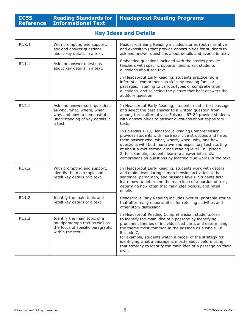| <b>CCSS</b><br><b>Reference</b> | <b>Reading Standards for</b><br><b>Informational Text</b>                                                                                | <b>Headsprout Reading Programs</b>                                                                                                                                                                                                                                                                                                                                                                                                           |
|---------------------------------|------------------------------------------------------------------------------------------------------------------------------------------|----------------------------------------------------------------------------------------------------------------------------------------------------------------------------------------------------------------------------------------------------------------------------------------------------------------------------------------------------------------------------------------------------------------------------------------------|
|                                 |                                                                                                                                          | <b>Key Ideas and Details</b>                                                                                                                                                                                                                                                                                                                                                                                                                 |
| RI.K.1                          | With prompting and support,<br>ask and answer questions<br>about key details in a text.                                                  | Headsprout Early Reading includes stories (both narrative<br>and expository) that provide opportunities for students to<br>ask and answer questions about details and events in text.                                                                                                                                                                                                                                                        |
| RI.1.1                          | Ask and answer questions<br>about key details in a text.                                                                                 | Embedded questions included with the stories provide<br>teachers with specific opportunities to ask students<br>questions about the text.                                                                                                                                                                                                                                                                                                    |
|                                 |                                                                                                                                          | In Headsprout Early Reading, students practice more<br>inferential comprehension skills by reading familiar<br>passages, listening to various types of comprehension<br>questions, and selecting the picture that best answers the<br>auditory question.                                                                                                                                                                                     |
| RI.2.1                          | Ask and answer such questions<br>as who, what, where, when,<br>why, and how to demonstrate<br>understanding of key details in<br>a text. | In Headsprout Early Reading, students read a text passage<br>and select the best answer to a written question from<br>among three alternatives. Episodes 67-80 provide students<br>with opportunities to answer questions about expository<br>texts.                                                                                                                                                                                         |
|                                 |                                                                                                                                          | In Episodes 1-10, Headsprout Reading Comprehension<br>provides students with more explicit instructions and helps<br>them answer who, what, where, when, why, and how<br>questions with both narrative and expository text starting<br>at about a mid-second-grade reading level. In Episode<br>2, for example, students learn to answer inferential<br>comprehension questions by locating clue words in the text.                          |
| RI.K.2                          | With prompting and support,<br>identify the main topic and<br>retell key details of a text.                                              | In Headsprout Early Reading, students work with details<br>and main ideas during comprehension activities at the<br>sentence, paragraph, and passage levels. Students first<br>learn how to determine the main idea of a portion of text,<br>determine how often that main idea occurs, and retell<br>details.                                                                                                                               |
| RI.1.2                          | Identify the main topic and<br>retell key details of a text.                                                                             | Headsprout Early Reading includes over 80 printable stories<br>that offer many opportunities for retelling activities and<br>other story discussion.                                                                                                                                                                                                                                                                                         |
| RI.2.2                          | Identify the main topic of a<br>multiparagraph text as well as<br>the focus of specific paragraphs<br>within the text.                   | In Headsprout Reading Comprehension, students learn<br>to identify the main idea of a passage by identifying<br>prominent themes of individualized parts and determining<br>the theme most common in the passage as a whole. In<br>Episode 7,<br>for example, students watch a model of the strategy for<br>identifying what a passage is mostly about before using<br>that strategy to identify the main idea of a passage on their<br>own. |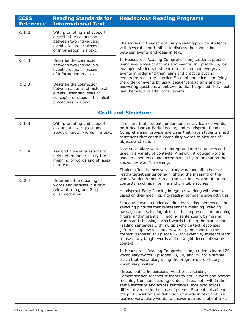| <b>CCSS</b><br><b>Reference</b> | <b>Reading Standards for</b><br><b>Informational Text</b>                                                                                            | <b>Headsprout Reading Programs</b>                                                                                                                                                                                                                                                                                                                                                                                                                                                                                                                                  |
|---------------------------------|------------------------------------------------------------------------------------------------------------------------------------------------------|---------------------------------------------------------------------------------------------------------------------------------------------------------------------------------------------------------------------------------------------------------------------------------------------------------------------------------------------------------------------------------------------------------------------------------------------------------------------------------------------------------------------------------------------------------------------|
| RI.K.3                          | With prompting and support,<br>describe the connection<br>between two individuals,<br>events, ideas, or pieces<br>of information in a text.          | The stories in Headsprout Early Reading provide students<br>with several opportunities to discuss the connections<br>between events and ideas in text.                                                                                                                                                                                                                                                                                                                                                                                                              |
| RI.1.3                          | Describe the connection<br>between two individuals,<br>events, ideas, or pieces<br>of information in a text.                                         | In Headsprout Reading Comprehension, students practice<br>using sequences of actions and events. In Episode 36, for<br>example, students first learn to put common everyday<br>events in order and then learn and practice putting<br>events from a story in order. Students practice identifying                                                                                                                                                                                                                                                                   |
| RI.2.3                          | Describe the connection<br>between a series of historical<br>events, scientific ideas or<br>concepts, or steps in technical<br>procedures in a text. | the order of events by using sequence diagrams and by<br>answering questions about events that happened first, next,<br>last, before, and after other events.                                                                                                                                                                                                                                                                                                                                                                                                       |
|                                 |                                                                                                                                                      | <b>Craft and Structure</b>                                                                                                                                                                                                                                                                                                                                                                                                                                                                                                                                          |
| RI.K.4                          | With prompting and support,<br>ask and answer questions<br>about unknown words in a text.                                                            | To ensure that students understand newly learned words,<br>both Headsprout Early Reading and Headsprout Reading<br>Comprehension provide exercises that have students match<br>sentences that contain vocabulary words to pictures of<br>objects and actions.                                                                                                                                                                                                                                                                                                       |
| RI.1.4                          | Ask and answer questions to<br>help determine or clarify the<br>meaning of words and phrases<br>in a text.                                           | New vocabulary words are integrated into sentences and<br>used in a variety of contexts. A newly introduced word is<br>used in a sentence and accompanied by an animation that<br>shows the word's meaning.                                                                                                                                                                                                                                                                                                                                                         |
| RI.2.4                          | Determine the meaning of<br>words and phrases in a text<br>relevant to a grade 2 topic<br>or subject area.                                           | Students find the new vocabulary word and often hear or<br>read a target sentence highlighting the meaning of the<br>word. Students then reread the vocabulary word in other<br>contexts, such as in online and printable stories.<br>Headsprout Early Reading integrates working with words,<br>based on their meaning, into reading comprehension activities.                                                                                                                                                                                                     |
|                                 |                                                                                                                                                      | Students develop understanding by reading sentences and<br>selecting pictures that represent the meaning; reading<br>passages and selecting pictures that represent the meaning<br>(literal and inferential); reading sentences with missing<br>words and choosing correct words to fill in the blank; and<br>reading sentences with multiple-choice text responses<br>(often using new vocabulary words) and choosing the<br>correct response. In Episode 72, for example, students learn<br>to use newly taught words and untaught decodable words in<br>context. |
|                                 |                                                                                                                                                      | In Headsprout Reading Comprehension, students learn 120<br>vocabulary words. Episodes 23, 30, and 39, for example,<br>teach that vocabulary using the program's proprietary<br>vocabulary system.                                                                                                                                                                                                                                                                                                                                                                   |
|                                 |                                                                                                                                                      | Throughout its 50 episodes, Headsprout Reading<br>Comprehension teaches students to derive word and phrase<br>meaning from surrounding context clues, both within the<br>same sentence and across sentences, including across<br>different verses in the case of poems. Students also hear<br>the pronunciation and definition of words in text and use<br>learned vocabulary words to answer questions about text.                                                                                                                                                 |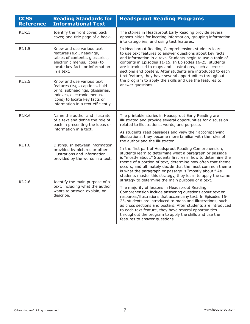| <b>CCSS</b><br><b>Reference</b> | <b>Reading Standards for</b><br><b>Informational Text</b>                                                                                                                                           | <b>Headsprout Reading Programs</b>                                                                                                                                                                                                                                                                                                                                                                                                                                                                               |
|---------------------------------|-----------------------------------------------------------------------------------------------------------------------------------------------------------------------------------------------------|------------------------------------------------------------------------------------------------------------------------------------------------------------------------------------------------------------------------------------------------------------------------------------------------------------------------------------------------------------------------------------------------------------------------------------------------------------------------------------------------------------------|
| <b>RI.K.5</b>                   | Identify the front cover, back<br>cover, and title page of a book.                                                                                                                                  | The stories in Headsprout Early Reading provide several<br>opportunities for locating information, grouping information<br>into categories, and using text features.                                                                                                                                                                                                                                                                                                                                             |
| RI.1.5                          | Know and use various text<br>features (e.g., headings,<br>tables of contents, glossaries,<br>electronic menus, icons) to<br>locate key facts or information<br>in a text.                           | In Headsprout Reading Comprehension, students learn<br>to use text features to answer questions about key facts<br>and information in a text. Students begin to use a table of<br>contents in Episodes 11-15. In Episodes 16-25, students<br>are introduced to maps and illustrations, such as cross-<br>sections and posters. After students are introduced to each<br>text feature, they have several opportunities throughout                                                                                 |
| RI.2.5                          | Know and use various text<br>features (e.g., captions, bold<br>print, subheadings, glossaries,<br>indexes, electronic menus,<br>icons) to locate key facts or<br>information in a text efficiently. | the program to apply the skills and use the features to<br>answer questions.                                                                                                                                                                                                                                                                                                                                                                                                                                     |
| <b>RI.K.6</b>                   | Name the author and illustrator<br>of a text and define the role of<br>each in presenting the ideas or<br>information in a text.                                                                    | The printable stories in Headsprout Early Reading are<br>illustrated and provide several opportunities for discussion<br>related to illustrations, words, and purpose.                                                                                                                                                                                                                                                                                                                                           |
|                                 |                                                                                                                                                                                                     | As students read passages and view their accompanying<br>illustrations, they become more familiar with the roles of<br>the author and the illustrator.                                                                                                                                                                                                                                                                                                                                                           |
| RI.1.6                          | Distinguish between information<br>provided by pictures or other<br>illustrations and information<br>provided by the words in a text.                                                               | In the first part of Headsprout Reading Comprehension,<br>students learn to determine what a paragraph or passage<br>is "mostly about." Students first learn how to determine the<br>theme of a portion of text, determine how often that theme<br>occurs, and ultimately decide that the most common theme<br>is what the paragraph or passage is "mostly about." As<br>students master this strategy, they learn to apply the same                                                                             |
| RI.2.6                          | Identify the main purpose of a<br>text, including what the author<br>wants to answer, explain, or<br>describe.                                                                                      | strategy to determine the main purpose of a text.<br>The majority of lessons in Headsprout Reading<br>Comprehension include answering questions about text or<br>resources/illustrations that accompany text. In Episodes 16-<br>25, students are introduced to maps and illustrations, such<br>as cross sections and posters. After students are introduced<br>to each text feature, they have several opportunities<br>throughout the program to apply the skills and use the<br>features to answer questions. |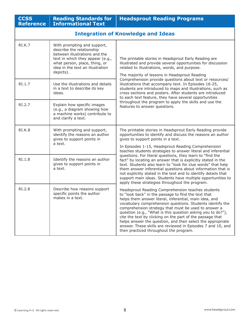| <b>CCSS</b><br><b>Reference</b> | <b>Reading Standards for</b><br><b>Informational Text</b>                                                                                                                                                       | <b>Headsprout Reading Programs</b>                                                                                                                                                                                                                                                                                                                                                                                                                                                                                                                                                         |  |
|---------------------------------|-----------------------------------------------------------------------------------------------------------------------------------------------------------------------------------------------------------------|--------------------------------------------------------------------------------------------------------------------------------------------------------------------------------------------------------------------------------------------------------------------------------------------------------------------------------------------------------------------------------------------------------------------------------------------------------------------------------------------------------------------------------------------------------------------------------------------|--|
|                                 | <b>Integration of Knowledge and Ideas</b>                                                                                                                                                                       |                                                                                                                                                                                                                                                                                                                                                                                                                                                                                                                                                                                            |  |
| RI.K.7                          | With prompting and support,<br>describe the relationship<br>between illustrations and the<br>text in which they appear (e.g.,<br>what person, place, thing, or<br>idea in the text an illustration<br>depicts). | The printable stories in Headsprout Early Reading are<br>illustrated and provide several opportunities for discussion<br>related to illustrations, words, and purpose.<br>The majority of lessons in Headsprout Reading                                                                                                                                                                                                                                                                                                                                                                    |  |
| RI.1.7                          | Use the illustrations and details<br>in a text to describe its key<br>ideas.                                                                                                                                    | Comprehension provide questions about text or resources/<br>illustrations that accompany text. In Episodes 16-25,<br>students are introduced to maps and illustrations, such as<br>cross sections and posters. After students are introduced<br>to each text feature, they have several opportunities                                                                                                                                                                                                                                                                                      |  |
| RI.2.7                          | Explain how specific images<br>(e.g., a diagram showing how<br>a machine works) contribute to<br>and clarify a text.                                                                                            | throughout the program to apply the skills and use the<br>features to answer questions.                                                                                                                                                                                                                                                                                                                                                                                                                                                                                                    |  |
| <b>RI.K.8</b>                   | With prompting and support,<br>identify the reasons an author<br>gives to support points in<br>a text.                                                                                                          | The printable stories in Headsprout Early Reading provide<br>opportunities to identify and discuss the reasons an author<br>gives to support points in a text.                                                                                                                                                                                                                                                                                                                                                                                                                             |  |
|                                 |                                                                                                                                                                                                                 | In Episodes 1-15, Headsprout Reading Comprehension<br>teaches students strategies to answer literal and inferential                                                                                                                                                                                                                                                                                                                                                                                                                                                                        |  |
| RI.1.8                          | Identify the reasons an author<br>gives to support points in<br>a text.                                                                                                                                         | questions. For literal questions, they learn to "find the<br>fact" by locating an answer that is explicitly stated in the<br>text. Students also learn to "look for clue words" that help<br>them answer inferential questions about information that is<br>not explicitly stated in the text and to identify details that<br>support main ideas. Students have multiple opportunities to<br>apply these strategies throughout the program.                                                                                                                                                |  |
| RI.2.8                          | Describe how reasons support<br>specific points the author<br>makes in a text.                                                                                                                                  | Headsprout Reading Comprehension teaches students<br>to "look back" in the passage to find the text that<br>helps them answer literal, inferential, main idea, and<br>vocabulary comprehension questions. Students identify the<br>comprehension strategy that must be used to answer a<br>question (e.g., "What is this question asking you to do?"),<br>cite the text by clicking on the part of the passage that<br>helps answer the question, and then select the appropriate<br>answer. These skills are reviewed in Episodes 7 and 10, and<br>then practiced throughout the program. |  |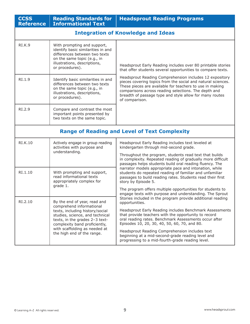| <b>CCSS</b><br><b>Reference</b> | <b>Reading Standards for</b><br><b>Informational Text</b>                                                                                                                                         | <b>Headsprout Reading Programs</b>                                                                                                                                                                                                                                                                                       |  |
|---------------------------------|---------------------------------------------------------------------------------------------------------------------------------------------------------------------------------------------------|--------------------------------------------------------------------------------------------------------------------------------------------------------------------------------------------------------------------------------------------------------------------------------------------------------------------------|--|
|                                 | <b>Integration of Knowledge and Ideas</b>                                                                                                                                                         |                                                                                                                                                                                                                                                                                                                          |  |
| <b>RI.K.9</b>                   | With prompting and support,<br>identify basic similarities in and<br>differences between two texts<br>on the same topic (e.g., in<br>illustrations, descriptions,<br>or procedures).              | Headsprout Early Reading includes over 80 printable stories<br>that offer students several opportunities to compare texts.                                                                                                                                                                                               |  |
| RI.1.9                          | Identify basic similarities in and<br>differences between two texts<br>on the same topic (e.g., in<br>illustrations, descriptions,<br>or procedures).                                             | Headsprout Reading Comprehension includes 12 expository<br>pieces covering topics from the social and natural sciences.<br>These pieces are available for teachers to use in making<br>comparisons across reading selections. The depth and<br>breadth of passage type and style allow for many routes<br>of comparison. |  |
| RI.2.9                          | Compare and contrast the most<br>important points presented by<br>two texts on the same topic.                                                                                                    |                                                                                                                                                                                                                                                                                                                          |  |
|                                 |                                                                                                                                                                                                   | <b>Range of Reading and Level of Text Complexity</b>                                                                                                                                                                                                                                                                     |  |
| RI.K.10                         | Actively engage in group reading<br>activities with purpose and<br>understanding.                                                                                                                 | Headsprout Early Reading includes text leveled at<br>kindergarten through mid-second grade.                                                                                                                                                                                                                              |  |
|                                 |                                                                                                                                                                                                   | Throughout the program, students read text that builds<br>in complexity. Repeated reading of gradually more difficult<br>passages helps students build oral reading fluency. The                                                                                                                                         |  |
| RI.1.10                         | With prompting and support,<br>read informational texts<br>appropriately complex for                                                                                                              | narrator models appropriate pace and intonation, while<br>students do repeated reading of familiar and unfamiliar<br>passages to build reading rates. Students read their first<br>story by Episode 5.                                                                                                                   |  |
|                                 | grade 1.                                                                                                                                                                                          | The program offers multiple opportunities for students to<br>engage texts with purpose and understanding. The Sprout                                                                                                                                                                                                     |  |
| RI.2.10                         | By the end of year, read and<br>comprehend informational<br>texts, including history/social<br>studies, science, and technical<br>texts, in the grades 2-3 text-<br>complexity band proficiently, | Stories included in the program provide additional reading<br>opportunities.                                                                                                                                                                                                                                             |  |
|                                 |                                                                                                                                                                                                   | Headsprout Early Reading includes Benchmark Assessments<br>that provide teachers with the opportunity to record<br>oral reading rates. Benchmark Assessments occur after<br>Episodes 10, 20, 30, 40, 50, 60, 70, and 80.                                                                                                 |  |
|                                 | with scaffolding as needed at<br>the high end of the range.                                                                                                                                       | Headsprout Reading Comprehension includes text<br>beginning at a mid-second-grade reading level and<br>progressing to a mid-fourth-grade reading level.                                                                                                                                                                  |  |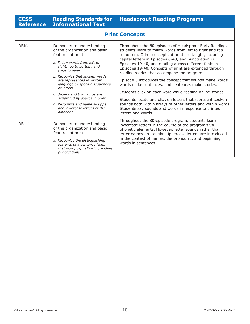| <b>CCSS</b><br><b>Reference</b> | <b>Reading Standards for</b><br><b>Informational Text</b>                                                                                                                                                                                                                                                                                                                                                                        | <b>Headsprout Reading Programs</b>                                                                                                                                                                                                                                                                                                                                                                                                                                                                                                                                                                                                                                                                                                                                                                   |
|---------------------------------|----------------------------------------------------------------------------------------------------------------------------------------------------------------------------------------------------------------------------------------------------------------------------------------------------------------------------------------------------------------------------------------------------------------------------------|------------------------------------------------------------------------------------------------------------------------------------------------------------------------------------------------------------------------------------------------------------------------------------------------------------------------------------------------------------------------------------------------------------------------------------------------------------------------------------------------------------------------------------------------------------------------------------------------------------------------------------------------------------------------------------------------------------------------------------------------------------------------------------------------------|
|                                 |                                                                                                                                                                                                                                                                                                                                                                                                                                  | <b>Print Concepts</b>                                                                                                                                                                                                                                                                                                                                                                                                                                                                                                                                                                                                                                                                                                                                                                                |
| REK.1                           | Demonstrate understanding<br>of the organization and basic<br>features of print.<br>a. Follow words from left to<br>right, top to bottom, and<br>page to page.<br>b. Recognize that spoken words<br>are represented in written<br>language by specific sequences<br>of letters.<br>c. Understand that words are<br>separated by spaces in print.<br>d. Recognize and name all upper<br>and lowercase letters of the<br>alphabet. | Throughout the 80 episodes of Headsprout Early Reading,<br>students learn to follow words from left to right and top<br>to bottom. Other concepts of print are taught, including<br>capital letters in Episodes 6-40, end punctuation in<br>Episodes 19-40, and reading across different fonts in<br>Episodes 19-40. Concepts of print are extended through<br>reading stories that accompany the program.<br>Episode 5 introduces the concept that sounds make words,<br>words make sentences, and sentences make stories.<br>Students click on each word while reading online stories.<br>Students locate and click on letters that represent spoken<br>sounds both within arrays of other letters and within words.<br>Students say sounds and words in response to printed<br>letters and words. |
| RF.1.1                          | Demonstrate understanding<br>of the organization and basic<br>features of print.<br>a. Recognize the distinguishing<br>features of a sentence (e.g.,<br>first word, capitalization, ending<br>punctuation).                                                                                                                                                                                                                      | Throughout the 80-episode program, students learn<br>lowercase letters in the course of the program's 94<br>phonetic elements. However, letter sounds rather than<br>letter names are taught. Uppercase letters are introduced<br>in the context of names, the pronoun I, and beginning<br>words in sentences.                                                                                                                                                                                                                                                                                                                                                                                                                                                                                       |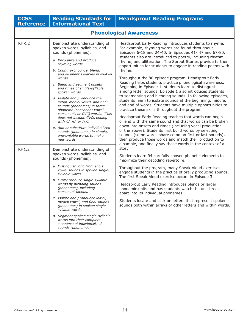| <b>CCSS</b><br><b>Reference</b> | <b>Reading Standards for</b><br><b>Informational Text</b>                                                                                                                                                                                                                                                                                                                                                                                                                                                                                                                                                                                     | <b>Headsprout Reading Programs</b>                                                                                                                                                                                                                                                                                                                                                                                                                                                                                                                                                                                                                                                                                                                                                                                                                                                                                                                                                                                                                                                                                                                                                                                |  |
|---------------------------------|-----------------------------------------------------------------------------------------------------------------------------------------------------------------------------------------------------------------------------------------------------------------------------------------------------------------------------------------------------------------------------------------------------------------------------------------------------------------------------------------------------------------------------------------------------------------------------------------------------------------------------------------------|-------------------------------------------------------------------------------------------------------------------------------------------------------------------------------------------------------------------------------------------------------------------------------------------------------------------------------------------------------------------------------------------------------------------------------------------------------------------------------------------------------------------------------------------------------------------------------------------------------------------------------------------------------------------------------------------------------------------------------------------------------------------------------------------------------------------------------------------------------------------------------------------------------------------------------------------------------------------------------------------------------------------------------------------------------------------------------------------------------------------------------------------------------------------------------------------------------------------|--|
|                                 | <b>Phonological Awareness</b>                                                                                                                                                                                                                                                                                                                                                                                                                                                                                                                                                                                                                 |                                                                                                                                                                                                                                                                                                                                                                                                                                                                                                                                                                                                                                                                                                                                                                                                                                                                                                                                                                                                                                                                                                                                                                                                                   |  |
| <b>RF.K.2</b>                   | Demonstrate understanding of<br>spoken words, syllables, and<br>sounds (phonemes).<br>a. Recognize and produce<br>rhyming words.<br>b. Count, pronounce, blend,<br>and segment syllables in spoken<br>words.<br>c. Blend and segment onsets<br>and rimes of single-syllable<br>spoken words.<br>d. Isolate and pronounce the<br>initial, medial vowel, and final<br>sounds (phonemes) in three-<br>phoneme (consonant-vowel-<br>consonant, or CVC) words. (This<br>does not include CVCs ending<br>with /l/, /r/, or /x/.)<br>e. Add or substitute individualized<br>sounds (phonemes) in simple,<br>one-syllable words to make<br>new words. | Headsprout Early Reading introduces students to rhyme.<br>For example, rhyming words are found throughout<br>Episodes 6-18 and 24-40. In Episodes 41-47 and 67-80,<br>students also are introduced to poetry, including rhythm,<br>rhyme, and alliteration. The Sprout Stories provide further<br>opportunities for students to engage in reading poems with<br>rhyme.<br>Throughout the 80-episode program, Headsprout Early<br>Reading helps students practice phonological awareness.<br>Beginning in Episode 1, students learn to distinguish<br>among letter sounds. Episode 1 also introduces students<br>to segmenting and blending sounds. In following episodes,<br>students learn to isolate sounds at the beginning, middle,<br>and end of words. Students have multiple opportunities to<br>practice these skills throughout the program.<br>Headsprout Early Reading teaches that words can begin<br>or end with the same sound and that words can be broken<br>down into onsets and rimes (including vocal production<br>of the above). Students first build words by selecting<br>sounds (some words share common first or last sounds),<br>then produce those words and match their production to |  |
| RF.1.2                          | Demonstrate understanding of<br>spoken words, syllables, and<br>sounds (phonemes).<br>a. Distinguish long from short<br>vowel sounds in spoken single-<br>syllable words.<br>b. Orally produce single-syllable<br>words by blending sounds<br>(phonemes), including<br>consonant blends.<br>c. Isolate and pronounce initial,<br>medial vowel, and final sounds<br>(phonemes) in spoken single-<br>syllable words.<br>d. Segment spoken single-syllable<br>words into their complete<br>sequence of individualized<br>sounds (phonemes).                                                                                                      | a sample, and finally say those words in the context of a<br>story.<br>Students learn 94 carefully chosen phonetic elements to<br>maximize their decoding repertoire.<br>Throughout the program, many Speak Aloud exercises<br>engage students in the practice of orally producing sounds.<br>The first Speak Aloud exercise occurs in Episode 3.<br>Headsprout Early Reading introduces blends or larger<br>phonemic units and has students watch the unit break<br>apart into its individual phonemes.<br>Students locate and click on letters that represent spoken<br>sounds both within arrays of other letters and within words.                                                                                                                                                                                                                                                                                                                                                                                                                                                                                                                                                                            |  |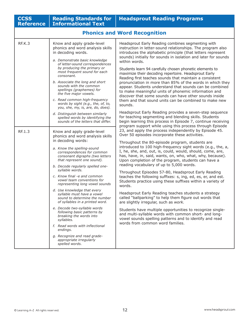| <b>CCSS</b><br><b>Reference</b> | <b>Reading Standards for</b><br><b>Informational Text</b>                                                                                                                                                                                                                                                                                                                                                                                                                                                                                                                                                                                                                                                                                    | <b>Headsprout Reading Programs</b>                                                                                                                                                                                                                                                                                                                                                                                                                                                                                                                                                                                                                                                                                                                                                                                                                                                                                                                                                                                                       |
|---------------------------------|----------------------------------------------------------------------------------------------------------------------------------------------------------------------------------------------------------------------------------------------------------------------------------------------------------------------------------------------------------------------------------------------------------------------------------------------------------------------------------------------------------------------------------------------------------------------------------------------------------------------------------------------------------------------------------------------------------------------------------------------|------------------------------------------------------------------------------------------------------------------------------------------------------------------------------------------------------------------------------------------------------------------------------------------------------------------------------------------------------------------------------------------------------------------------------------------------------------------------------------------------------------------------------------------------------------------------------------------------------------------------------------------------------------------------------------------------------------------------------------------------------------------------------------------------------------------------------------------------------------------------------------------------------------------------------------------------------------------------------------------------------------------------------------------|
|                                 |                                                                                                                                                                                                                                                                                                                                                                                                                                                                                                                                                                                                                                                                                                                                              | <b>Phonics and Word Recognition</b>                                                                                                                                                                                                                                                                                                                                                                                                                                                                                                                                                                                                                                                                                                                                                                                                                                                                                                                                                                                                      |
| RF.K.3                          | Know and apply grade-level<br>phonics and word analysis skills<br>in decoding words.<br>a. Demonstrate basic knowledge<br>of letter-sound correspondences<br>by producing the primary or<br>most frequent sound for each<br>consonant.<br>b. Associate the long and short<br>sounds with the common<br>spellings (graphemes) for<br>the five major vowels.<br>c. Read common high-frequency<br>words by sight (e.g., the, of, to,<br>you, she, my, is, are, do, does).                                                                                                                                                                                                                                                                       | Headsprout Early Reading combines segmenting with<br>instruction in letter-sound relationships. The program also<br>introduces the alphabetic principle (that letters represent<br>sounds) initially for sounds in isolation and later for sounds<br>within words.<br>Students learn 94 carefully chosen phonetic elements to<br>maximize their decoding repertoire. Headsprout Early<br>Reading first teaches sounds that maintain a consistent<br>pronunciation in more than 85% of the words in which they<br>appear. Students understand that sounds can be combined<br>to make meaningful units of phonemic information and<br>discover that some sounds can have other sounds inside<br>them and that sound units can be combined to make new<br>sounds.<br>Headsprout Early Reading provides a seven-step sequence                                                                                                                                                                                                                |
|                                 | d. Distinguish between similarly<br>spelled words by identifying the<br>sounds of the letters that differ.                                                                                                                                                                                                                                                                                                                                                                                                                                                                                                                                                                                                                                   | for teaching segmenting and blending skills. Students<br>begin learning this process in Episode 7, continue receiving<br>program support while using this process through Episode                                                                                                                                                                                                                                                                                                                                                                                                                                                                                                                                                                                                                                                                                                                                                                                                                                                        |
| RF.1.3                          | Know and apply grade-level<br>phonics and word analysis skills<br>in decoding words:<br>a. Know the spelling-sound<br>correspondences for common<br>consonant digraphs (two letters<br>that represent one sound).<br>b. Decode regularly spelled one-<br>syllable words.<br>c. Know final -e and common<br>vowel team conventions for<br>representing long vowel sounds<br>d. Use knowledge that every<br>syllable must have a vowel<br>sound to determine the number<br>of syllables in a printed word.<br>e. Decode two-syllable words<br>following basic patterns by<br>breaking the words into<br>syllables.<br>f. Read words with inflectional<br>endings.<br>g. Recognize and read grade-<br>appropriate irregularly<br>spelled words. | 23, and apply the process independently by Episode 45.<br>Over 50 episodes incorporate these activities.<br>Throughout the 80-episode program, students are<br>introduced to 100 high-frequency sight words (e.g., the, a,<br>I, he, she, and, out, is, could, would, should, come, are,<br>has, have, in, said, wants, on, who, what, why, because).<br>Upon completion of the program, students can have a<br>reading vocabulary of up to 5,000 words.<br>Throughout Episodes 57-80, Headsprout Early Reading<br>teaches the following suffixes: s, ing, ed, es, er, and est.<br>Students practice using these suffixes within a variety of<br>words.<br>Headsprout Early Reading teaches students a strategy<br>called "ballparking" to help them figure out words that<br>are slightly irregular, such as work.<br>Students have multiple opportunities to recognize single-<br>and multi-syllable words with common short- and long-<br>vowel sounds spelling patterns and to identify and read<br>words from common word families. |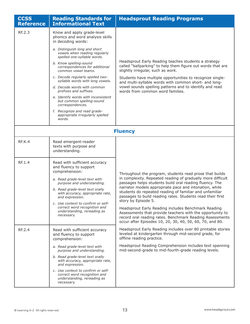| <b>CCSS</b><br><b>Reference</b> | <b>Reading Standards for</b><br><b>Informational Text</b>                                                                                                                                                                                                                                                                                                                                                                                                                                                                                                                      | <b>Headsprout Reading Programs</b>                                                                                                                                                                                                                                                                                                                                                                                                                                                                                                                                                                                                      |
|---------------------------------|--------------------------------------------------------------------------------------------------------------------------------------------------------------------------------------------------------------------------------------------------------------------------------------------------------------------------------------------------------------------------------------------------------------------------------------------------------------------------------------------------------------------------------------------------------------------------------|-----------------------------------------------------------------------------------------------------------------------------------------------------------------------------------------------------------------------------------------------------------------------------------------------------------------------------------------------------------------------------------------------------------------------------------------------------------------------------------------------------------------------------------------------------------------------------------------------------------------------------------------|
| RF.2.3                          | Know and apply grade-level<br>phonics and word analysis skills<br>in decoding words:<br>a. Distinguish long and short<br>vowels when reading regularly<br>spelled one-syllable words.<br>b. Know spelling-sound<br>correspondences for additional<br>common vowel teams.<br>c. Decode regularly spelled two-<br>syllable words with long vowels.<br>d. Decode words with common<br>prefixes and suffixes.<br>e. Identify words with inconsistent<br>but common spelling-sound<br>correspondences.<br>f. Recognize and read grade-<br>appropriate irregularly spelled<br>words. | Headsprout Early Reading teaches students a strategy<br>called "ballparking" to help them figure out words that are<br>slightly irregular, such as work.<br>Students have multiple opportunities to recognize single-<br>and multi-syllable words with common short- and long-<br>vowel sounds spelling patterns and to identify and read<br>words from common word families.                                                                                                                                                                                                                                                           |
| <b>Fluency</b>                  |                                                                                                                                                                                                                                                                                                                                                                                                                                                                                                                                                                                |                                                                                                                                                                                                                                                                                                                                                                                                                                                                                                                                                                                                                                         |
| <b>RF.K.4</b>                   | Read emergent-reader<br>texts with purpose and<br>understanding.                                                                                                                                                                                                                                                                                                                                                                                                                                                                                                               |                                                                                                                                                                                                                                                                                                                                                                                                                                                                                                                                                                                                                                         |
| RF.1.4                          | Read with sufficient accuracy<br>and fluency to support<br>comprehension:<br>a. Read grade-level text with<br>purpose and understanding.<br>b. Read grade-level text orally<br>with accuracy, appropriate rate,<br>and expression.<br>c. Use context to confirm or self-<br>correct word recognition and<br>understanding, rereading as<br>necessary.                                                                                                                                                                                                                          | Throughout the program, students read prose that builds<br>in complexity. Repeated reading of gradually more difficult<br>passages helps students build oral reading fluency. The<br>narrator models appropriate pace and intonation, while<br>students do repeated reading of familiar and unfamiliar<br>passages to build reading rates. Students read their first<br>story by Episode 5.<br>Headsprout Early Reading includes Benchmark Reading<br>Assessments that provide teachers with the opportunity to<br>record oral reading rates. Benchmark Reading Assessments<br>occur after Episodes 10, 20, 30, 40, 50, 60, 70, and 80. |
| RF.2.4                          | Read with sufficient accuracy<br>and fluency to support<br>comprehension:<br>a. Read grade-level text with<br>purpose and understanding.<br>b. Read grade-level text orally<br>with accuracy, appropriate rate,<br>and expression.<br>c. Use context to confirm or self-<br>correct word recognition and<br>understanding, rereading as<br>necessary.                                                                                                                                                                                                                          | Headsprout Early Reading includes over 80 printable stories<br>leveled at kindergarten through mid-second grade, for<br>offline reading practice.<br>Headsprout Reading Comprehension includes text spanning<br>mid-second-grade to mid-fourth-grade reading levels.                                                                                                                                                                                                                                                                                                                                                                    |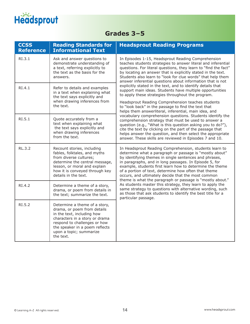## Headsprout

## **Grades 3–5**

| <b>CCSS</b><br><b>Reference</b> | <b>Reading Standards for</b><br><b>Informational Text</b>                                                                                                                                                                              | <b>Headsprout Reading Programs</b>                                                                                                                                                                                                                                                                                                                                                                                                                                           |
|---------------------------------|----------------------------------------------------------------------------------------------------------------------------------------------------------------------------------------------------------------------------------------|------------------------------------------------------------------------------------------------------------------------------------------------------------------------------------------------------------------------------------------------------------------------------------------------------------------------------------------------------------------------------------------------------------------------------------------------------------------------------|
| RI.3.1                          | Ask and answer questions to<br>demonstrate understanding of<br>a text, referring explicitly to<br>the text as the basis for the<br>answers.                                                                                            | In Episodes 1-15, Headsprout Reading Comprehension<br>teaches students strategies to answer literal and inferential<br>questions. For literal questions, they learn to "find the fact"<br>by locating an answer that is explicitly stated in the text.<br>Students also learn to "look for clue words" that help them<br>answer inferential questions about information that is not                                                                                          |
| RI.4.1                          | Refer to details and examples<br>in a text when explaining what<br>the text says explicitly and                                                                                                                                        | explicitly stated in the text, and to identify details that<br>support main ideas. Students have multiple opportunities<br>to apply these strategies throughout the program.                                                                                                                                                                                                                                                                                                 |
|                                 | when drawing inferences from<br>the text.                                                                                                                                                                                              | Headsprout Reading Comprehension teaches students<br>to "look back" in the passage to find the text that<br>helps them answerliteral, inferential, main idea, and                                                                                                                                                                                                                                                                                                            |
| RI.5.1                          | Quote accurately from a<br>text when explaining what<br>the text says explicitly and<br>when drawing inferences<br>from the text.                                                                                                      | vocabulary comprehension questions. Students identify the<br>comprehension strategy that must be used to answer a<br>question (e.g., "What is this question asking you to do?"),<br>cite the text by clicking on the part of the passage that<br>helps answer the question, and then select the appropriate<br>answer. These skills are reviewed in Episodes 7 and 10.                                                                                                       |
| <b>RL.3.2</b>                   | Recount stories, including<br>fables, folktales, and myths<br>from diverse cultures;<br>determine the central message,<br>lesson, or moral and explain<br>how it is conveyed through key<br>details in the text.                       | In Headsprout Reading Comprehension, students learn to<br>determine what a paragraph or passage is "mostly about"<br>by identifying themes in single sentences and phrases,<br>in paragraphs, and in long passages. In Episode 5, for<br>example, students first learn how to determine the theme<br>of a portion of text, determine how often that theme<br>occurs, and ultimately decide that the most common<br>theme is what the paragraph or passage is "mostly about." |
| RI.4.2                          | Determine a theme of a story,<br>drama, or poem from details in<br>the text; summarize the text.                                                                                                                                       | As students master this strategy, they learn to apply the<br>same strategy to questions with alternative wording, such<br>as those that ask students to identify the best title for a<br>particular passage.                                                                                                                                                                                                                                                                 |
| RI.5.2                          | Determine a theme of a story,<br>drama, or poem from details<br>in the text, including how<br>characters in a story or drama<br>respond to challenges or how<br>the speaker in a poem reflects<br>upon a topic; summarize<br>the text. |                                                                                                                                                                                                                                                                                                                                                                                                                                                                              |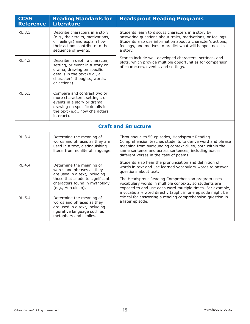| <b>CCSS</b><br><b>Reference</b> | <b>Reading Standards for</b><br><b>Literature</b>                                                                                                                               | <b>Headsprout Reading Programs</b>                                                                                                                                                                                                                                      |
|---------------------------------|---------------------------------------------------------------------------------------------------------------------------------------------------------------------------------|-------------------------------------------------------------------------------------------------------------------------------------------------------------------------------------------------------------------------------------------------------------------------|
| RL.3.3                          | Describe characters in a story<br>(e.g., their traits, motivations,<br>or feelings) and explain how<br>their actions contribute to the<br>sequence of events.                   | Students learn to discuss characters in a story by<br>answering questions about traits, motivations, or feelings.<br>Students also use information about a character's actions,<br>feelings, and motives to predict what will happen next in<br>a story.                |
| <b>RL.4.3</b>                   | Describe in depth a character,<br>setting, or event in a story or<br>drama, drawing on specific<br>details in the text (e.g., a<br>character's thoughts, words,<br>or actions). | Stories include well-developed characters, settings, and<br>plots, which provide multiple opportunities for comparison<br>of characters, events, and settings.                                                                                                          |
| <b>RL.5.3</b>                   | Compare and contrast two or<br>more characters, settings, or<br>events in a story or drama,<br>drawing on specific details in<br>the text (e.g., how characters<br>interact).   |                                                                                                                                                                                                                                                                         |
|                                 |                                                                                                                                                                                 | <b>Craft and Structure</b>                                                                                                                                                                                                                                              |
| RL.3.4                          | Determine the meaning of<br>words and phrases as they are<br>used in a text, distinguishing<br>literal from nonliteral language.                                                | Throughout its 50 episodes, Headsprout Reading<br>Comprehension teaches students to derive word and phrase<br>meaning from surrounding context clues, both within the<br>same sentence and across sentences, including across<br>different verses in the case of poems. |
| <b>RL.4.4</b>                   | Determine the meaning of<br>words and phrases as they<br>are used in a text, including                                                                                          | Students also hear the pronunciation and definition of<br>words in text and use learned vocabulary words to answer<br>questions about text.                                                                                                                             |
|                                 | those that allude to significant<br>characters found in mythology<br>(e.g., Herculean).                                                                                         | The Headsprout Reading Comprehension program uses<br>vocabulary words in multiple contexts, so students are<br>exposed to and use each word multiple times. For example,<br>a vocabulary word directly taught in one episode might be                                   |
| <b>RL.5.4</b>                   | Determine the meaning of<br>words and phrases as they<br>are used in a text, including<br>figurative language such as<br>metaphors and similes.                                 | critical for answering a reading comprehension question in<br>a later episode.                                                                                                                                                                                          |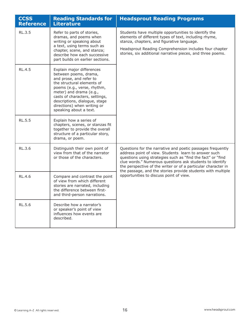| <b>CCSS</b><br><b>Reference</b> | <b>Reading Standards for</b><br><b>Literature</b>                                                                                                                                                                                                                                                 | <b>Headsprout Reading Programs</b>                                                                                                                                                                                                                                                                                                                                            |
|---------------------------------|---------------------------------------------------------------------------------------------------------------------------------------------------------------------------------------------------------------------------------------------------------------------------------------------------|-------------------------------------------------------------------------------------------------------------------------------------------------------------------------------------------------------------------------------------------------------------------------------------------------------------------------------------------------------------------------------|
| RL.3.5                          | Refer to parts of stories,<br>dramas, and poems when<br>writing or speaking about<br>a text, using terms such as<br>chapter, scene, and stanza;<br>describe how each successive<br>part builds on earlier sections.                                                                               | Students have multiple opportunities to identify the<br>elements of different types of text, including rhyme,<br>stanza, chapters, and figurative language.<br>Headsprout Reading Comprehension includes four chapter<br>stories, six additional narrative pieces, and three poems.                                                                                           |
| <b>RL.4.5</b>                   | Explain major differences<br>between poems, drama,<br>and prose, and refer to<br>the structural elements of<br>poems (e.g., verse, rhythm,<br>meter) and drama (e.g.,<br>casts of characters, settings,<br>descriptions, dialogue, stage<br>directions) when writing or<br>speaking about a text. |                                                                                                                                                                                                                                                                                                                                                                               |
| <b>RL.5.5</b>                   | Explain how a series of<br>chapters, scenes, or stanzas fit<br>together to provide the overall<br>structure of a particular story,<br>drama, or poem.                                                                                                                                             |                                                                                                                                                                                                                                                                                                                                                                               |
| RL.3.6                          | Distinguish their own point of<br>view from that of the narrator<br>or those of the characters.                                                                                                                                                                                                   | Questions for the narrative and poetic passages frequently<br>address point of view. Students learn to answer such<br>questions using strategies such as "find the fact" or "find<br>clue words." Numerous questions ask students to identify<br>the perspective of the writer or of a particular character in<br>the passage, and the stories provide students with multiple |
| RL.4.6                          | Compare and contrast the point<br>of view from which different<br>stories are narrated, including<br>the difference between first-<br>and third-person narrations.                                                                                                                                | opportunities to discuss point of view.                                                                                                                                                                                                                                                                                                                                       |
| <b>RL.5.6</b>                   | Describe how a narrator's<br>or speaker's point of view<br>influences how events are<br>described.                                                                                                                                                                                                |                                                                                                                                                                                                                                                                                                                                                                               |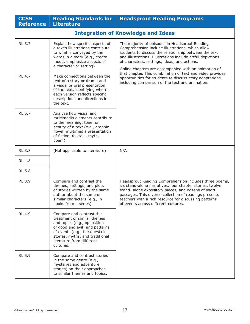| <b>CCSS</b><br><b>Reference</b>           | <b>Reading Standards for</b><br><b>Literature</b>                                                                                                                                                                                        | <b>Headsprout Reading Programs</b>                                                                                                                                                                                                                                                                                                   |
|-------------------------------------------|------------------------------------------------------------------------------------------------------------------------------------------------------------------------------------------------------------------------------------------|--------------------------------------------------------------------------------------------------------------------------------------------------------------------------------------------------------------------------------------------------------------------------------------------------------------------------------------|
| <b>Integration of Knowledge and Ideas</b> |                                                                                                                                                                                                                                          |                                                                                                                                                                                                                                                                                                                                      |
| RL.3.7                                    | Explain how specific aspects of<br>a text's illustrations contribute<br>to what is conveyed by the<br>words in a story (e.g., create<br>mood, emphasize aspects of<br>a character or setting).                                           | The majority of episodes in Headsprout Reading<br>Comprehension include illustrations, which allow<br>students to discuss the relationship between the text<br>and illustrations. Illustrations include artful depictions<br>of characters, settings, ideas, and actions.<br>Online chapters are accompanied with an animation of    |
| RL.4.7                                    | Make connections between the<br>text of a story or drama and<br>a visual or oral presentation<br>of the text, identifying where<br>each version reflects specific<br>descriptions and directions in<br>the text.                         | that chapter. This combination of text and video provides<br>opportunities for students to discuss story adaptations,<br>including comparison of the text and animation.                                                                                                                                                             |
| RL.5.7                                    | Analyze how visual and<br>multimedia elements contribute<br>to the meaning, tone, or<br>beauty of a text (e.g., graphic<br>novel, multimedia presentation<br>of fiction, folktale, myth,<br>poem).                                       |                                                                                                                                                                                                                                                                                                                                      |
| <b>RL.3.8</b>                             | (Not applicable to literature)                                                                                                                                                                                                           | N/A                                                                                                                                                                                                                                                                                                                                  |
| <b>RL.4.8</b>                             |                                                                                                                                                                                                                                          |                                                                                                                                                                                                                                                                                                                                      |
| <b>RL.5.8</b>                             |                                                                                                                                                                                                                                          |                                                                                                                                                                                                                                                                                                                                      |
| RL.3.9                                    | Compare and contrast the<br>themes, settings, and plots<br>of stories written by the same<br>author about the same or<br>similar characters (e.g., in<br>books from a series).                                                           | Headsprout Reading Comprehension includes three poems,<br>six stand-alone narratives, four chapter stories, twelve<br>stand- alone expository pieces, and dozens of short<br>passages. This diverse collection of readings presents<br>teachers with a rich resource for discussing patterns<br>of events across different cultures. |
| RL.4.9                                    | Compare and contrast the<br>treatment of similar themes<br>and topics (e.g., opposition<br>of good and evil) and patterns<br>of events (e.g., the quest) in<br>stories, myths, and traditional<br>literature from different<br>cultures. |                                                                                                                                                                                                                                                                                                                                      |
| RL.5.9                                    | Compare and contrast stories<br>in the same genre (e.g.,<br>mysteries and adventure<br>stories) on their approaches<br>to similar themes and topics.                                                                                     |                                                                                                                                                                                                                                                                                                                                      |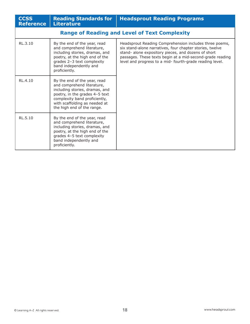| <b>CCSS</b><br><b>Reference</b> | <b>Reading Standards for</b><br><b>Literature</b>                                                                                                                                                                              | <b>Headsprout Reading Programs</b>                                                                                                                                                                                                                                                                 |
|---------------------------------|--------------------------------------------------------------------------------------------------------------------------------------------------------------------------------------------------------------------------------|----------------------------------------------------------------------------------------------------------------------------------------------------------------------------------------------------------------------------------------------------------------------------------------------------|
|                                 |                                                                                                                                                                                                                                | <b>Range of Reading and Level of Text Complexity</b>                                                                                                                                                                                                                                               |
| RL.3.10                         | By the end of the year, read<br>and comprehend literature,<br>including stories, dramas, and<br>poetry, at the high end of the<br>grades 2-3 text complexity<br>band independently and<br>proficiently.                        | Headsprout Reading Comprehension includes three poems,<br>six stand-alone narratives, four chapter stories, twelve<br>stand- alone expository pieces, and dozens of short<br>passages. These texts begin at a mid-second-grade reading<br>level and progress to a mid- fourth-grade reading level. |
| RL.4.10                         | By the end of the year, read<br>and comprehend literature,<br>including stories, dramas, and<br>poetry, in the grades 4-5 text<br>complexity band proficiently,<br>with scaffolding as needed at<br>the high end of the range. |                                                                                                                                                                                                                                                                                                    |
| RL.5.10                         | By the end of the year, read<br>and comprehend literature,<br>including stories, dramas, and<br>poetry, at the high end of the<br>grades 4-5 text complexity<br>band independently and<br>proficiently.                        |                                                                                                                                                                                                                                                                                                    |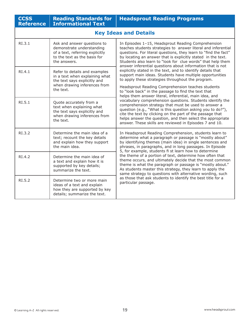| <b>CCSS</b><br><b>Reference</b> | <b>Reading Standards for</b><br><b>Informational Text</b>                                                                                   | <b>Headsprout Reading Programs</b>                                                                                                                                                                                                                                                                                                                                                                                                                                                                                                                                  |  |
|---------------------------------|---------------------------------------------------------------------------------------------------------------------------------------------|---------------------------------------------------------------------------------------------------------------------------------------------------------------------------------------------------------------------------------------------------------------------------------------------------------------------------------------------------------------------------------------------------------------------------------------------------------------------------------------------------------------------------------------------------------------------|--|
|                                 | <b>Key Ideas and Details</b>                                                                                                                |                                                                                                                                                                                                                                                                                                                                                                                                                                                                                                                                                                     |  |
| RI.3.1                          | Ask and answer questions to<br>demonstrate understanding<br>of a text, referring explicitly<br>to the text as the basis for<br>the answers. | In Episodes 1-15, Headsprout Reading Comprehension<br>teaches students strategies to answer literal and inferential<br>questions. For literal questions, they learn to "find the fact"<br>by locating an answer that is explicitly stated in the text.<br>Students also learn to "look for clue words" that help them<br>answer inferential questions about information that is not<br>explicitly stated in the text, and to identify details that<br>support main ideas. Students have multiple opportunities<br>to apply these strategies throughout the program. |  |
| RI.4.1                          | Refer to details and examples<br>in a text when explaining what<br>the text says explicitly and<br>when drawing inferences from             |                                                                                                                                                                                                                                                                                                                                                                                                                                                                                                                                                                     |  |
|                                 | the text.                                                                                                                                   | Headsprout Reading Comprehension teaches students<br>to "look back" in the passage to find the text that<br>helps them answer literal, inferential, main idea, and                                                                                                                                                                                                                                                                                                                                                                                                  |  |
| RI.5.1                          | Quote accurately from a<br>text when explaining what<br>the text says explicitly and<br>when drawing inferences from<br>the text.           | vocabulary comprehension questions. Students identify the<br>comprehension strategy that must be used to answer a<br>question (e.g., "What is this question asking you to do?"),<br>cite the text by clicking on the part of the passage that<br>helps answer the question, and then select the appropriate<br>answer. These skills are reviewed in Episodes 7 and 10.                                                                                                                                                                                              |  |
| RI.3.2                          | Determine the main idea of a<br>text; recount the key details<br>and explain how they support<br>the main idea.                             | In Headsprout Reading Comprehension, students learn to<br>determine what a paragraph or passage is "mostly about"<br>by identifying themes (main idea) in single sentences and<br>phrases, in paragraphs, and in long passages. In Episode<br>5, for example, students fi st learn how to determine                                                                                                                                                                                                                                                                 |  |
| RI.4.2                          | Determine the main idea of<br>a text and explain how it is<br>supported by key details;<br>summarize the text.                              | the theme of a portion of text, determine how often that<br>theme occurs, and ultimately decide that the most common<br>theme is what the paragraph or passage is "mostly about."<br>As students master this strategy, they learn to apply the<br>same strategy to questions with alternative wording, such<br>as those that ask students to identify the best title for a<br>particular passage.                                                                                                                                                                   |  |
| RI.5.2                          | Determine two or more main<br>ideas of a text and explain<br>how they are supported by key<br>details; summarize the text.                  |                                                                                                                                                                                                                                                                                                                                                                                                                                                                                                                                                                     |  |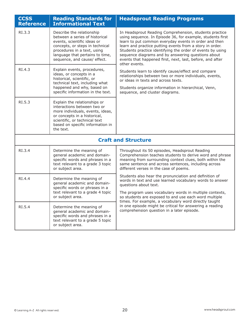| <b>CCSS</b><br><b>Reference</b> | <b>Reading Standards for</b><br><b>Informational Text</b>                                                                                                                                                                       | <b>Headsprout Reading Programs</b>                                                                                                                                                                                                                                                                                                                                                                                                          |
|---------------------------------|---------------------------------------------------------------------------------------------------------------------------------------------------------------------------------------------------------------------------------|---------------------------------------------------------------------------------------------------------------------------------------------------------------------------------------------------------------------------------------------------------------------------------------------------------------------------------------------------------------------------------------------------------------------------------------------|
| RI.3.3                          | Describe the relationship<br>between a series of historical<br>events, scientific ideas or<br>concepts, or steps in technical<br>procedures in a text, using<br>language that pertains to time,<br>sequence, and cause/ effect. | In Headsprout Reading Comprehension, students practice<br>using sequence. In Episode 36, for example, students first<br>learn to put common everyday events in order and then<br>learn and practice putting events from a story in order.<br>Students practice identifying the order of events by using<br>sequence diagrams and by answering questions about<br>events that happened first, next, last, before, and after<br>other events. |
| RI.4.3                          | Explain events, procedures,<br>ideas, or concepts in a<br>historical, scientific, or<br>technical text, including what<br>happened and why, based on<br>specific information in the text.                                       | Students learn to identify cause/effect and compare<br>relationships between two or more individuals, events,<br>or ideas in texts and across texts.<br>Students organize information in hierarchical, Venn,<br>sequence, and cluster diagrams.                                                                                                                                                                                             |
| RI.5.3                          | Explain the relationships or<br>interactions between two or<br>more individuals, events, ideas,<br>or concepts in a historical,<br>scientific, or technical text<br>based on specific information in<br>the text.               |                                                                                                                                                                                                                                                                                                                                                                                                                                             |
| <b>Craft and Structure</b>      |                                                                                                                                                                                                                                 |                                                                                                                                                                                                                                                                                                                                                                                                                                             |
| RI.3.4                          | Determine the meaning of<br>general academic and domain-<br>specific words and phrases in a<br>text relevant to a grade 3 topic<br>or subject area.                                                                             | Throughout its 50 episodes, Headsprout Reading<br>Comprehension teaches students to derive word and phrase<br>meaning from surrounding context clues, both within the<br>same sentence and across sentences, including across<br>different verses in the case of poems.                                                                                                                                                                     |
| RI.4.4                          | Determine the meaning of<br>general academic and domain-<br>specific words or phrases in a<br>text relevant to a grade 4 topic<br>or subject area.                                                                              | Students also hear the pronunciation and definition of<br>words in text and use learned vocabulary words to answer<br>questions about text.<br>The program uses vocabulary words in multiple contexts,<br>so students are exposed to and use each word multiple<br>times. For example, a vocabulary word directly taught                                                                                                                    |
| RI.5.4                          | Determine the meaning of<br>general academic and domain-<br>specific words and phrases in a<br>text relevant to a grade 5 topic<br>or subject area.                                                                             | in one episode might be critical for answering a reading<br>comprehension question in a later episode.                                                                                                                                                                                                                                                                                                                                      |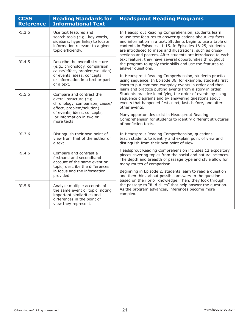| <b>CCSS</b><br><b>Reference</b> | <b>Reading Standards for</b><br><b>Informational Text</b>                                                                                            | <b>Headsprout Reading Programs</b>                                                                                                                                                                                                                                                                                                                                   |
|---------------------------------|------------------------------------------------------------------------------------------------------------------------------------------------------|----------------------------------------------------------------------------------------------------------------------------------------------------------------------------------------------------------------------------------------------------------------------------------------------------------------------------------------------------------------------|
| RI.3.5                          | Use text features and<br>search tools (e.g., key words,<br>sidebars, hyperlinks) to locate<br>information relevant to a given<br>topic efficiently.  | In Headsprout Reading Comprehension, students learn<br>to use text features to answer questions about key facts<br>and information in a text. Students begin to use a table of<br>contents in Episodes 11-15. In Episodes 16-25, students<br>are introduced to maps and illustrations, such as cross-<br>sections and posters. After students are introduced to each |
| RI.4.5                          | Describe the overall structure<br>(e.g., chronology, comparison,<br>cause/effect, problem/solution)<br>of events, ideas, concepts,                   | text feature, they have several opportunities throughout<br>the program to apply their skills and use the features to<br>answer questions.<br>In Headsprout Reading Comprehension, students practice                                                                                                                                                                 |
|                                 | or information in a text or part<br>of a text.                                                                                                       | using sequence. In Episode 36, for example, students first<br>learn to put common everyday events in order and then<br>learn and practice putting events from a story in order.                                                                                                                                                                                      |
| RI.5.5                          | Compare and contrast the<br>overall structure (e.g.,<br>chronology, comparison, cause/<br>effect, problem/solution)<br>of events, ideas, concepts,   | Students practice identifying the order of events by using<br>sequence diagrams and by answering questions about<br>events that happened first, next, last, before, and after<br>other events.                                                                                                                                                                       |
|                                 | or information in two or<br>more texts.                                                                                                              | Many opportunities exist in Headsprout Reading<br>Comprehension for students to identify different structures<br>of nonfiction texts.                                                                                                                                                                                                                                |
| RI.3.6                          | Distinguish their own point of<br>view from that of the author of<br>a text.                                                                         | In Headsprout Reading Comprehension, questions<br>teach students to identify and explain point of view and<br>distinguish from their own point of view.                                                                                                                                                                                                              |
| RI.4.6                          | Compare and contrast a<br>firsthand and secondhand<br>account of the same event or<br>topic; describe the differences                                | Headsprout Reading Comprehension includes 12 expository<br>pieces covering topics from the social and natural sciences.<br>The depth and breadth of passage type and style allow for<br>many routes of comparison.                                                                                                                                                   |
|                                 | in focus and the information<br>provided.                                                                                                            | Beginning in Episode 2, students learn to read a question<br>and then think about possible answers to the question<br>based on their prior knowledge. Then, they look through                                                                                                                                                                                        |
| RI.5.6                          | Analyze multiple accounts of<br>the same event or topic, noting<br>important similarities and<br>differences in the point of<br>view they represent. | the passage to "fi d clues" that help answer the question.<br>As the program advances, inferences become more<br>complex.                                                                                                                                                                                                                                            |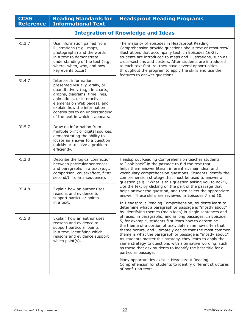| <b>CCSS</b><br><b>Reference</b>           | <b>Reading Standards for</b><br><b>Informational Text</b>                                                                                                                                                                                                                                       | <b>Headsprout Reading Programs</b>                                                                                                                                                                                                                                                                                                                                                                                                                                                                                     |
|-------------------------------------------|-------------------------------------------------------------------------------------------------------------------------------------------------------------------------------------------------------------------------------------------------------------------------------------------------|------------------------------------------------------------------------------------------------------------------------------------------------------------------------------------------------------------------------------------------------------------------------------------------------------------------------------------------------------------------------------------------------------------------------------------------------------------------------------------------------------------------------|
| <b>Integration of Knowledge and Ideas</b> |                                                                                                                                                                                                                                                                                                 |                                                                                                                                                                                                                                                                                                                                                                                                                                                                                                                        |
| RI.3.7                                    | Use information gained from<br>illustrations (e.g., maps,<br>photographs) and the words<br>in a text to demonstrate<br>understanding of the text (e.g.,<br>where, when, why, and how<br>key events occur).                                                                                      | The majority of episodes in Headsprout Reading<br>Comprehension provide questions about text or resources/<br>illustrations that accompany text. In Episodes 16-25,<br>students are introduced to maps and illustrations, such as<br>cross-sections and posters. After students are introduced<br>to each text feature, they have several opportunities<br>throughout the program to apply the skills and use the                                                                                                      |
| RI.4.7                                    | Interpret information<br>presented visually, orally, or<br>quantitatively (e.g., in charts,<br>graphs, diagrams, time lines,<br>animations, or interactive<br>elements on Web pages), and<br>explain how the information<br>contributes to an understanding<br>of the text in which it appears. | features to answer questions.                                                                                                                                                                                                                                                                                                                                                                                                                                                                                          |
| RI.5.7                                    | Draw on information from<br>multiple print or digital sources,<br>demonstrating the ability to<br>locate an answer to a question<br>quickly or to solve a problem<br>efficiently.                                                                                                               |                                                                                                                                                                                                                                                                                                                                                                                                                                                                                                                        |
| RI.3.8                                    | Describe the logical connection<br>between particular sentences<br>and paragraphs in a text (e.g.,<br>comparison, cause/effect, first/<br>second/third in a sequence).                                                                                                                          | Headsprout Reading Comprehension teaches students<br>to "look back" in the passage to fi d the text that<br>helps them answer literal, inferential, main idea, and<br>vocabulary comprehension questions. Students identify the<br>comprehension strategy that must be used to answer a<br>question (e.g., "What is this question asking you to do?"),                                                                                                                                                                 |
| RI.4.8                                    | Explain how an author uses<br>reasons and evidence to<br>support particular points                                                                                                                                                                                                              | cite the text by clicking on the part of the passage that<br>helps answer the question, and then select the appropriate<br>answer. These skills are reviewed in Episodes 7 and 10.                                                                                                                                                                                                                                                                                                                                     |
|                                           | in a text.                                                                                                                                                                                                                                                                                      | In Headsprout Reading Comprehension, students learn to<br>determine what a paragraph or passage is "mostly about"<br>by identifying themes (main idea) in single sentences and                                                                                                                                                                                                                                                                                                                                         |
| RI.5.8                                    | Explain how an author uses<br>reasons and evidence to<br>support particular points<br>in a text, identifying which<br>reasons and evidence support<br>which point(s).                                                                                                                           | phrases, in paragraphs, and in long passages. In Episode<br>5, for example, students fi st learn how to determine<br>the theme of a portion of text, determine how often that<br>theme occurs, and ultimately decide that the most common<br>theme is what the paragraph or passage is "mostly about."<br>As students master this strategy, they learn to apply the<br>same strategy to questions with alternative wording, such<br>as those that ask students to identify the best title for a<br>particular passage. |
|                                           |                                                                                                                                                                                                                                                                                                 | Many opportunities exist in Headsprout Reading<br>Comprehension for students to identify different structures<br>of nonfi tion texts.                                                                                                                                                                                                                                                                                                                                                                                  |